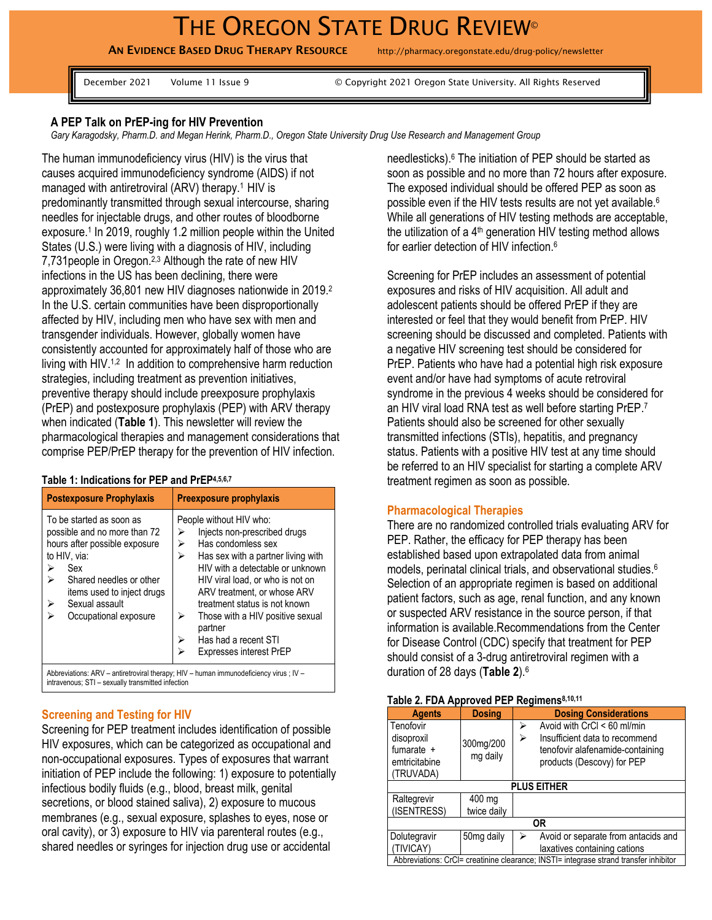# THE OREGON STATE DRUG REVIEW®

AN EVIDENCE BASED DRUG THERAPY RESOURCE http://pharmacy.oregonstate.edu/drug-policy/newsletter

December 2021 Volume 11 Issue 9 © Copyright 2021 Oregon State University. All Rights Reserved

## **A PEP Talk on PrEP-ing for HIV Prevention**

*Gary Karagodsky, Pharm.D. and Megan Herink, Pharm.D., Oregon State University Drug Use Research and Management Group*

The human immunodeficiency virus (HIV) is the virus that causes acquired immunodeficiency syndrome (AIDS) if not managed with antiretroviral (ARV) therapy.<sup>1</sup> HIV is predominantly transmitted through sexual intercourse, sharing needles for injectable drugs, and other routes of bloodborne exposure.<sup>1</sup> In 2019, roughly 1.2 million people within the United States (U.S.) were living with a diagnosis of HIV, including 7,731 people in Oregon.<sup>2,3</sup> Although the rate of new HIV infections in the US has been declining, there were approximately 36,801 new HIV diagnoses nationwide in 2019. 2 In the U.S. certain communities have been disproportionally affected by HIV, including men who have sex with men and transgender individuals. However, globally women have consistently accounted for approximately half of those who are living with HIV.<sup>1,2</sup> In addition to comprehensive harm reduction strategies, including treatment as prevention initiatives, preventive therapy should include preexposure prophylaxis (PrEP) and postexposure prophylaxis (PEP) with ARV therapy when indicated (**Table 1**). This newsletter will review the pharmacological therapies and management considerations that comprise PEP/PrEP therapy for the prevention of HIV infection.

#### **Table 1: Indications for PEP and PrEP4,5,6,7**

| <b>Postexposure Prophylaxis</b>                                                                                                                                                                                                | <b>Preexposure prophylaxis</b>                                                                                                                                                                                                                                                                                                                                                    |  |  |
|--------------------------------------------------------------------------------------------------------------------------------------------------------------------------------------------------------------------------------|-----------------------------------------------------------------------------------------------------------------------------------------------------------------------------------------------------------------------------------------------------------------------------------------------------------------------------------------------------------------------------------|--|--|
| To be started as soon as<br>possible and no more than 72<br>hours after possible exposure<br>to HIV, via:<br>Sex<br>⋗<br>⋗<br>Shared needles or other<br>items used to inject drugs<br>Sexual assault<br>Occupational exposure | People without HIV who:<br>Injects non-prescribed drugs<br>⋗<br>Has condomless sex<br>⋗<br>Has sex with a partner living with<br>⋗<br>HIV with a detectable or unknown<br>HIV viral load, or who is not on<br>ARV treatment, or whose ARV<br>treatment status is not known<br>Those with a HIV positive sexual<br>⋗<br>partner<br>Has had a recent STI<br>Expresses interest PrEP |  |  |
|                                                                                                                                                                                                                                | Abbreviations: ARV - antiretroviral therapy; HIV - human immunodeficiency virus ; IV -                                                                                                                                                                                                                                                                                            |  |  |

intravenous; STI – sexually transmitted infection

#### **Screening and Testing for HIV**

Screening for PEP treatment includes identification of possible HIV exposures, which can be categorized as occupational and non-occupational exposures. Types of exposures that warrant initiation of PEP include the following: 1) exposure to potentially infectious bodily fluids (e.g., blood, breast milk, genital secretions, or blood stained saliva), 2) exposure to mucous membranes (e.g., sexual exposure, splashes to eyes, nose or oral cavity), or 3) exposure to HIV via parenteral routes (e.g., shared needles or syringes for injection drug use or accidental

needlesticks). <sup>6</sup> The initiation of PEP should be started as soon as possible and no more than 72 hours after exposure. The exposed individual should be offered PEP as soon as possible even if the HIV tests results are not yet available. 6 While all generations of HIV testing methods are acceptable, the utilization of a  $4<sup>th</sup>$  generation HIV testing method allows for earlier detection of HIV infection.<sup>6</sup>

Screening for PrEP includes an assessment of potential exposures and risks of HIV acquisition. All adult and adolescent patients should be offered PrEP if they are interested or feel that they would benefit from PrEP. HIV screening should be discussed and completed. Patients with a negative HIV screening test should be considered for PrEP. Patients who have had a potential high risk exposure event and/or have had symptoms of acute retroviral syndrome in the previous 4 weeks should be considered for an HIV viral load RNA test as well before starting PrEP.<sup>7</sup> Patients should also be screened for other sexually transmitted infections (STIs), hepatitis, and pregnancy status. Patients with a positive HIV test at any time should be referred to an HIV specialist for starting a complete ARV treatment regimen as soon as possible.

## **Pharmacological Therapies**

There are no randomized controlled trials evaluating ARV for PEP. Rather, the efficacy for PEP therapy has been established based upon extrapolated data from animal models, perinatal clinical trials, and observational studies. 6 Selection of an appropriate regimen is based on additional patient factors, such as age, renal function, and any known or suspected ARV resistance in the source person, if that information is available.Recommendations from the Center for Disease Control (CDC) specify that treatment for PEP should consist of a 3-drug antiretroviral regimen with a duration of 28 days (**Table 2**). 6

#### **Table 2. FDA Approved PEP Regimens8,10,11**

| <b>Agents</b>                                                                         | <b>Dosing</b>         | <b>Dosing Considerations</b>                                                                                                              |  |  |  |
|---------------------------------------------------------------------------------------|-----------------------|-------------------------------------------------------------------------------------------------------------------------------------------|--|--|--|
| Tenofovir<br>disoproxil<br>fumarate $+$<br>emtricitabine<br>(TRUVADA)                 | 300mg/200<br>mg daily | Avoid with CrCl < 60 ml/min<br>⋗<br>Insufficient data to recommend<br>⋗<br>tenofovir alafenamide-containing<br>products (Descovy) for PEP |  |  |  |
| <b>PLUS EITHER</b>                                                                    |                       |                                                                                                                                           |  |  |  |
| Raltegrevir<br>(ISENTRESS)                                                            | 400 mg<br>twice daily |                                                                                                                                           |  |  |  |
| 0R                                                                                    |                       |                                                                                                                                           |  |  |  |
| Dolutegravir<br>(TIVICAY)                                                             | 50mg daily            | Avoid or separate from antacids and<br>laxatives containing cations                                                                       |  |  |  |
| Abbreviations: CrCl= creatinine clearance; INSTI= integrase strand transfer inhibitor |                       |                                                                                                                                           |  |  |  |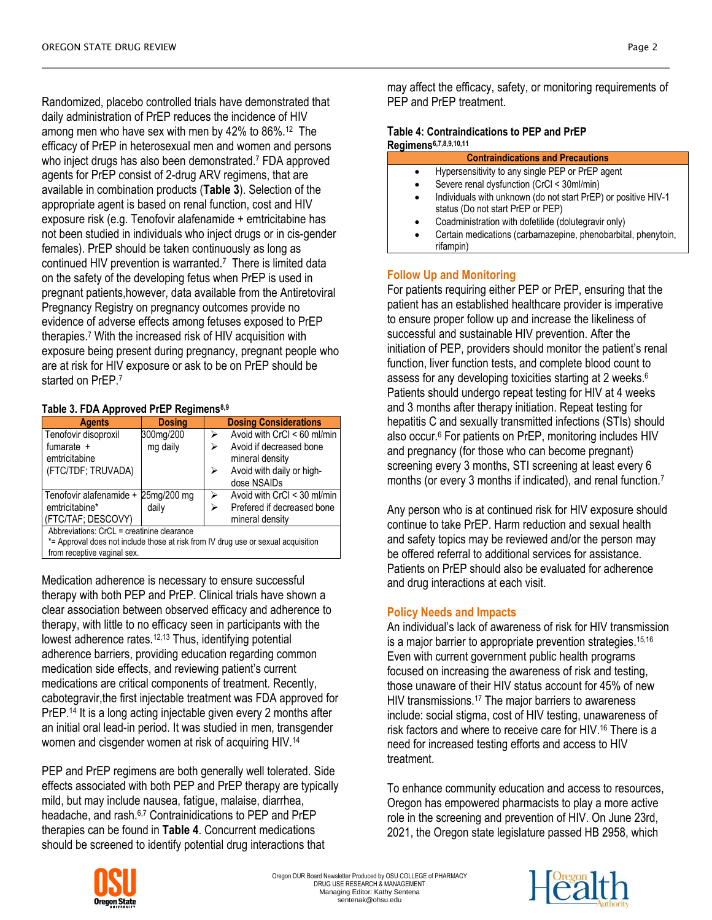Randomized, placebo controlled trials have demonstrated that daily administration of PrEP reduces the incidence of HIV among men who have sex with men by 42% to 86%.<sup>12</sup> The efficacy of PrEP in heterosexual men and women and persons who inject drugs has also been demonstrated. <sup>7</sup> FDA approved agents for PrEP consist of 2-drug ARV regimens, that are available in combination products (**Table 3**). Selection of the appropriate agent is based on renal function, cost and HIV exposure risk (e.g. Tenofovir alafenamide + emtricitabine has not been studied in individuals who inject drugs or in cis-gender females). PrEP should be taken continuously as long as continued HIV prevention is warranted.<sup>7</sup> There is limited data on the safety of the developing fetus when PrEP is used in pregnant patients,however, data available from the Antiretoviral Pregnancy Registry on pregnancy outcomes provide no evidence of adverse effects among fetuses exposed to PrEP therapies.<sup>7</sup> With the increased risk of HIV acquisition with exposure being present during pregnancy, pregnant people who are at risk for HIV exposure or ask to be on PrEP should be started on PrEP.<sup>7</sup>

## **Table 3. FDA Approved PrEP Regimens8,9**

| <b>Agents</b>                                         | <b>Dosing</b> |   | <b>Dosing Considerations</b> |
|-------------------------------------------------------|---------------|---|------------------------------|
| Tenofovir disoproxil                                  | 300mg/200     |   | Avoid with CrCl < 60 ml/min  |
| fumarate +                                            | mg daily      |   | Avoid if decreased bone      |
| emtricitabine                                         |               |   | mineral density              |
| (FTC/TDF; TRUVADA)                                    |               | ⋗ | Avoid with daily or high-    |
|                                                       |               |   | dose NSAIDs                  |
| Tenofovir alafenamide + 25mg/200 mg                   |               | ⋗ | Avoid with CrCl < 30 ml/min  |
| emtricitabine*                                        | daily         |   | Prefered if decreased bone   |
| (FTC/TAF; DESCOVY)                                    |               |   | mineral density              |
| Abbreviations: $C_rC_1 = \text{cr$ eatinine clearance |               |   |                              |

Abbreviations: CrCL = creatinine clearance

\*= Approval does not include those at risk from IV drug use or sexual acquisition from receptive vaginal sex.

Medication adherence is necessary to ensure successful therapy with both PEP and PrEP. Clinical trials have shown a clear association between observed efficacy and adherence to therapy, with little to no efficacy seen in participants with the lowest adherence rates.<sup>12,13</sup> Thus, identifying potential adherence barriers, providing education regarding common medication side effects, and reviewing patient's current medications are critical components of treatment. Recently, cabotegravir,the first injectable treatment was FDA approved for PrEP.<sup>14</sup> It is a long acting injectable given every 2 months after an initial oral lead-in period. It was studied in men, transgender women and cisgender women at risk of acquiring HIV.<sup>14</sup>

PEP and PrEP regimens are both generally well tolerated. Side effects associated with both PEP and PrEP therapy are typically mild, but may include nausea, fatigue, malaise, diarrhea, headache, and rash.6,7 Contrainidications to PEP and PrEP therapies can be found in **Table 4**. Concurrent medications should be screened to identify potential drug interactions that

may affect the efficacy, safety, or monitoring requirements of PEP and PrEP treatment.

#### **Table 4: Contraindications to PEP and PrEP Regimens6,7,8,9,10,11**

|           | <b>Contraindications and Precautions</b>                                                            |
|-----------|-----------------------------------------------------------------------------------------------------|
| $\bullet$ | Hypersensitivity to any single PEP or PrEP agent                                                    |
| $\bullet$ | Severe renal dysfunction (CrCl < 30ml/min)                                                          |
| $\bullet$ | Individuals with unknown (do not start PrEP) or positive HIV-1<br>status (Do not start PrEP or PEP) |
| $\bullet$ | Coadministration with dofetilide (dolutegravir only)                                                |
| ٠         | Certain medications (carbamazepine, phenobarbital, phenytoin,                                       |
|           |                                                                                                     |

**Follow Up and Monitoring**

rifampin)

For patients requiring either PEP or PrEP, ensuring that the patient has an established healthcare provider is imperative to ensure proper follow up and increase the likeliness of successful and sustainable HIV prevention. After the initiation of PEP, providers should monitor the patient's renal function, liver function tests, and complete blood count to assess for any developing toxicities starting at 2 weeks. 6 Patients should undergo repeat testing for HIV at 4 weeks and 3 months after therapy initiation. Repeat testing for hepatitis C and sexually transmitted infections (STIs) should also occur.<sup>6</sup> For patients on PrEP, monitoring includes HIV and pregnancy (for those who can become pregnant) screening every 3 months, STI screening at least every 6 months (or every 3 months if indicated), and renal function.<sup>7</sup>

Any person who is at continued risk for HIV exposure should continue to take PrEP. Harm reduction and sexual health and safety topics may be reviewed and/or the person may be offered referral to additional services for assistance. Patients on PrEP should also be evaluated for adherence and drug interactions at each visit.

## **Policy Needs and Impacts**

An individual's lack of awareness of risk for HIV transmission is a major barrier to appropriate prevention strategies. 15,16 Even with current government public health programs focused on increasing the awareness of risk and testing, those unaware of their HIV status account for 45% of new HIV transmissions.<sup>17</sup> The major barriers to awareness include: social stigma, cost of HIV testing, unawareness of risk factors and where to receive care for HIV. <sup>16</sup> There is a need for increased testing efforts and access to HIV treatment.

To enhance community education and access to resources, Oregon has empowered pharmacists to play a more active role in the screening and prevention of HIV. On June 23rd, 2021, the Oregon state legislature passed HB 2958, which